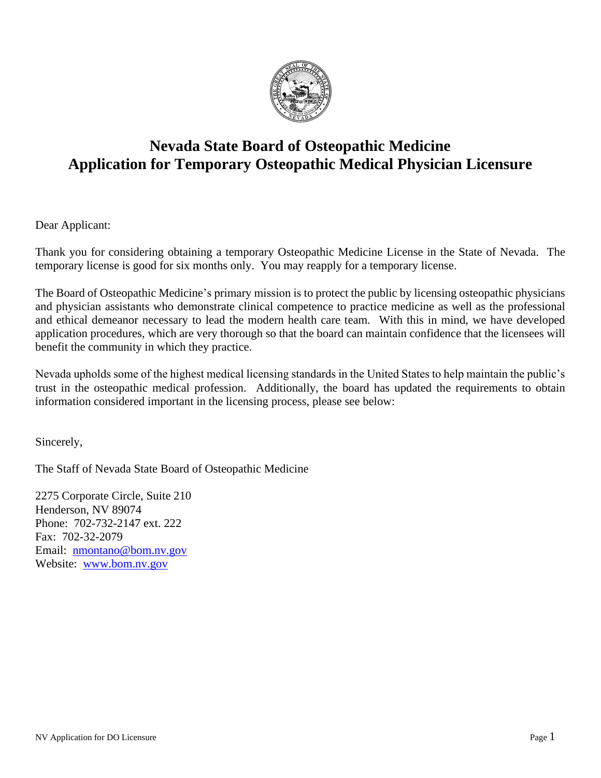

# **Nevada State Board of Osteopathic Medicine Application for Temporary Osteopathic Medical Physician Licensure**

Dear Applicant:

Thank you for considering obtaining a temporary Osteopathic Medicine License in the State of Nevada. The temporary license is good for six months only. You may reapply for a temporary license.

The Board of Osteopathic Medicine's primary mission is to protect the public by licensing osteopathic physicians and physician assistants who demonstrate clinical competence to practice medicine as well as the professional and ethical demeanor necessary to lead the modern health care team. With this in mind, we have developed application procedures, which are very thorough so that the board can maintain confidence that the licensees will benefit the community in which they practice.

Nevada upholds some of the highest medical licensing standards in the United States to help maintain the public's trust in the osteopathic medical profession. Additionally, the board has updated the requirements to obtain information considered important in the licensing process, please see below:

Sincerely,

The Staff of Nevada State Board of Osteopathic Medicine

2275 Corporate Circle, Suite 210 Henderson, NV 89074 Phone: 702-732-2147 ext. 222 Fax: 702-32-2079 Email: [nmontano@bom.nv.gov](mailto:nmontano@bom.nv.gov) Website: [www.bom.nv.gov](http://www.bom.nv.gov/)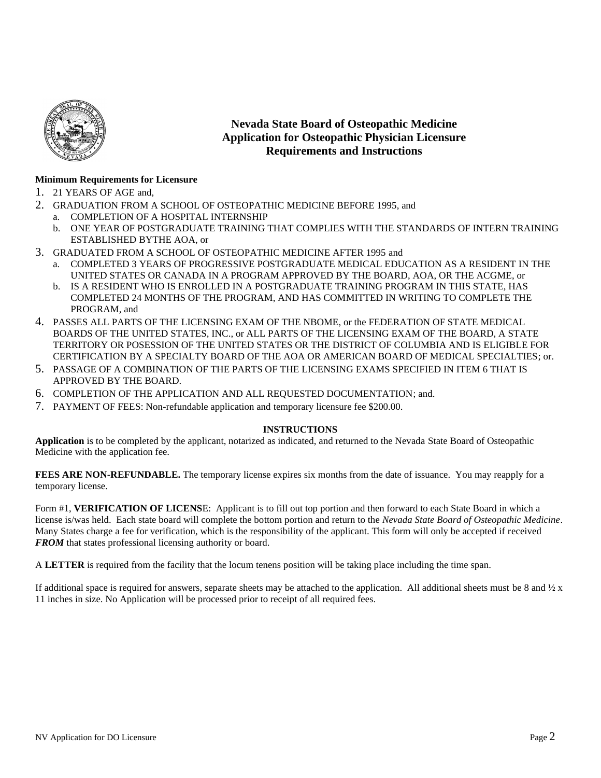

## **Nevada State Board of Osteopathic Medicine Application for Osteopathic Physician Licensure Requirements and Instructions**

#### **Minimum Requirements for Licensure**

- 1. 21 YEARS OF AGE and,
- 2. GRADUATION FROM A SCHOOL OF OSTEOPATHIC MEDICINE BEFORE 1995, and
	- a. COMPLETION OF A HOSPITAL INTERNSHIP
	- b. ONE YEAR OF POSTGRADUATE TRAINING THAT COMPLIES WITH THE STANDARDS OF INTERN TRAINING ESTABLISHED BYTHE AOA, or
- 3. GRADUATED FROM A SCHOOL OF OSTEOPATHIC MEDICINE AFTER 1995 and
	- a. COMPLETED 3 YEARS OF PROGRESSIVE POSTGRADUATE MEDICAL EDUCATION AS A RESIDENT IN THE UNITED STATES OR CANADA IN A PROGRAM APPROVED BY THE BOARD, AOA, OR THE ACGME, or
	- b. IS A RESIDENT WHO IS ENROLLED IN A POSTGRADUATE TRAINING PROGRAM IN THIS STATE, HAS COMPLETED 24 MONTHS OF THE PROGRAM, AND HAS COMMITTED IN WRITING TO COMPLETE THE PROGRAM, and
- 4. PASSES ALL PARTS OF THE LICENSING EXAM OF THE NBOME, or the FEDERATION OF STATE MEDICAL BOARDS OF THE UNITED STATES, INC., or ALL PARTS OF THE LICENSING EXAM OF THE BOARD, A STATE TERRITORY OR POSESSION OF THE UNITED STATES OR THE DISTRICT OF COLUMBIA AND IS ELIGIBLE FOR CERTIFICATION BY A SPECIALTY BOARD OF THE AOA OR AMERICAN BOARD OF MEDICAL SPECIALTIES; or.
- 5. PASSAGE OF A COMBINATION OF THE PARTS OF THE LICENSING EXAMS SPECIFIED IN ITEM 6 THAT IS APPROVED BY THE BOARD.
- 6. COMPLETION OF THE APPLICATION AND ALL REQUESTED DOCUMENTATION; and.
- 7. PAYMENT OF FEES: Non-refundable application and temporary licensure fee \$200.00.

#### **INSTRUCTIONS**

**Application** is to be completed by the applicant, notarized as indicated, and returned to the Nevada State Board of Osteopathic Medicine with the application fee*.*

**FEES ARE NON-REFUNDABLE.** The temporary license expires six months from the date of issuance. You may reapply for a temporary license.

Form #1, **VERIFICATION OF LICENS**E: Applicant is to fill out top portion and then forward to each State Board in which a license is/was held. Each state board will complete the bottom portion and return to the *Nevada State Board of Osteopathic Medicine*. Many States charge a fee for verification, which is the responsibility of the applicant. This form will only be accepted if received *FROM* that states professional licensing authority or board.

A **LETTER** is required from the facility that the locum tenens position will be taking place including the time span.

If additional space is required for answers, separate sheets may be attached to the application. All additional sheets must be 8 and  $\frac{1}{2}x$ 11 inches in size. No Application will be processed prior to receipt of all required fees.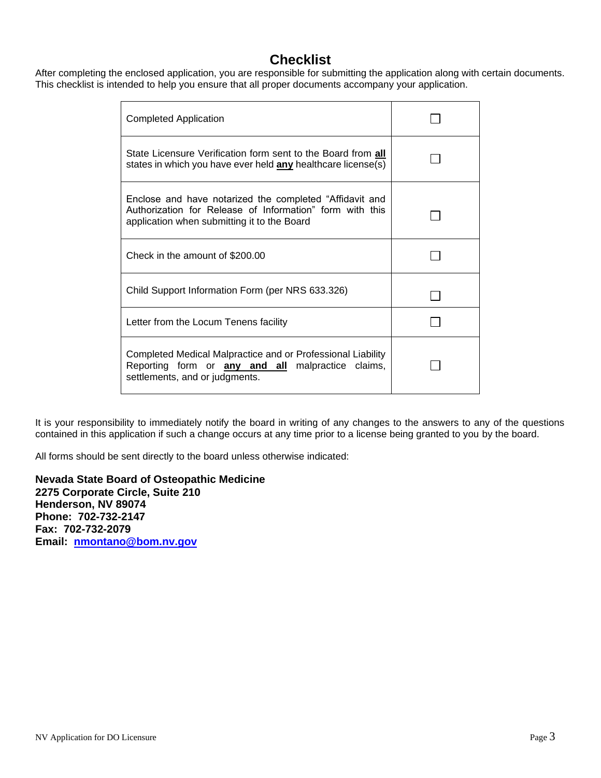## **Checklist**

After completing the enclosed application, you are responsible for submitting the application along with certain documents. This checklist is intended to help you ensure that all proper documents accompany your application.

| <b>Completed Application</b>                                                                                                                                       |  |
|--------------------------------------------------------------------------------------------------------------------------------------------------------------------|--|
| State Licensure Verification form sent to the Board from all<br>states in which you have ever held any healthcare license(s)                                       |  |
| Enclose and have notarized the completed "Affidavit and<br>Authorization for Release of Information" form with this<br>application when submitting it to the Board |  |
| Check in the amount of \$200.00                                                                                                                                    |  |
| Child Support Information Form (per NRS 633.326)                                                                                                                   |  |
| Letter from the Locum Tenens facility                                                                                                                              |  |
| Completed Medical Malpractice and or Professional Liability<br>Reporting form or <b>any and all</b> malpractice claims,<br>settlements, and or judgments.          |  |

It is your responsibility to immediately notify the board in writing of any changes to the answers to any of the questions contained in this application if such a change occurs at any time prior to a license being granted to you by the board.

All forms should be sent directly to the board unless otherwise indicated:

**Nevada State Board of Osteopathic Medicine 2275 Corporate Circle, Suite 210 Henderson, NV 89074 Phone: 702-732-2147 Fax: 702-732-2079 Email: [nmontano@bom.nv.gov](mailto:nmontano@bom.nv.gov)**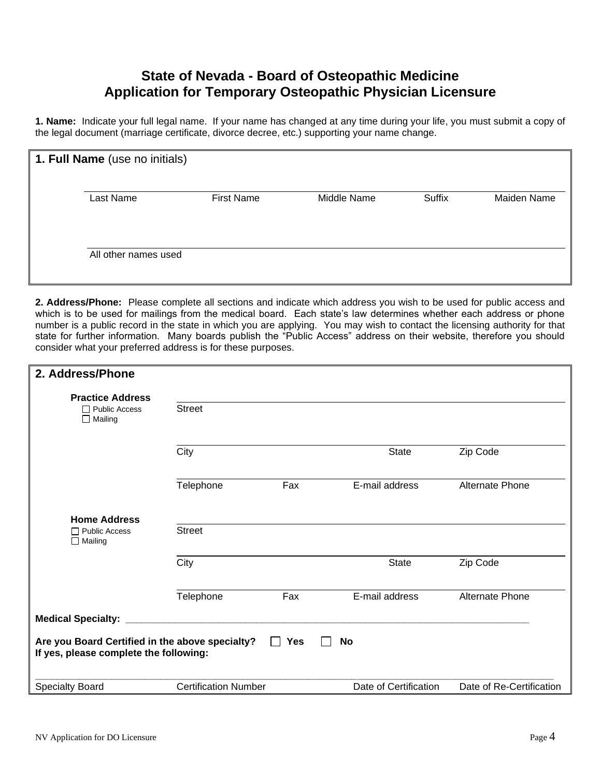## **State of Nevada - Board of Osteopathic Medicine Application for Temporary Osteopathic Physician Licensure**

**1. Name:** Indicate your full legal name. If your name has changed at any time during your life, you must submit a copy of the legal document (marriage certificate, divorce decree, etc.) supporting your name change.

| 1. Full Name (use no initials) |                   |             |        |             |
|--------------------------------|-------------------|-------------|--------|-------------|
| Last Name                      | <b>First Name</b> | Middle Name | Suffix | Maiden Name |
| All other names used           |                   |             |        |             |

**2. Address/Phone:** Please complete all sections and indicate which address you wish to be used for public access and which is to be used for mailings from the medical board. Each state's law determines whether each address or phone number is a public record in the state in which you are applying. You may wish to contact the licensing authority for that state for further information. Many boards publish the "Public Access" address on their website, therefore you should consider what your preferred address is for these purposes.

| 2. Address/Phone                                                                          |                             |            |                       |                          |
|-------------------------------------------------------------------------------------------|-----------------------------|------------|-----------------------|--------------------------|
| <b>Practice Address</b>                                                                   |                             |            |                       |                          |
| $\Box$ Public Access<br>$\Box$ Mailing                                                    | <b>Street</b>               |            |                       |                          |
|                                                                                           | City                        |            | <b>State</b>          | Zip Code                 |
|                                                                                           | Telephone                   | Fax        | E-mail address        | <b>Alternate Phone</b>   |
| <b>Home Address</b><br>$\Box$ Public Access<br>$\Box$ Mailing                             | <b>Street</b>               |            |                       |                          |
|                                                                                           | City                        |            | <b>State</b>          | Zip Code                 |
|                                                                                           | Telephone                   | Fax        | E-mail address        | <b>Alternate Phone</b>   |
| <b>Medical Specialty:</b>                                                                 |                             |            |                       |                          |
| Are you Board Certified in the above specialty?<br>If yes, please complete the following: |                             | <b>Yes</b> | <b>No</b>             |                          |
| Specialty Board                                                                           | <b>Certification Number</b> |            | Date of Certification | Date of Re-Certification |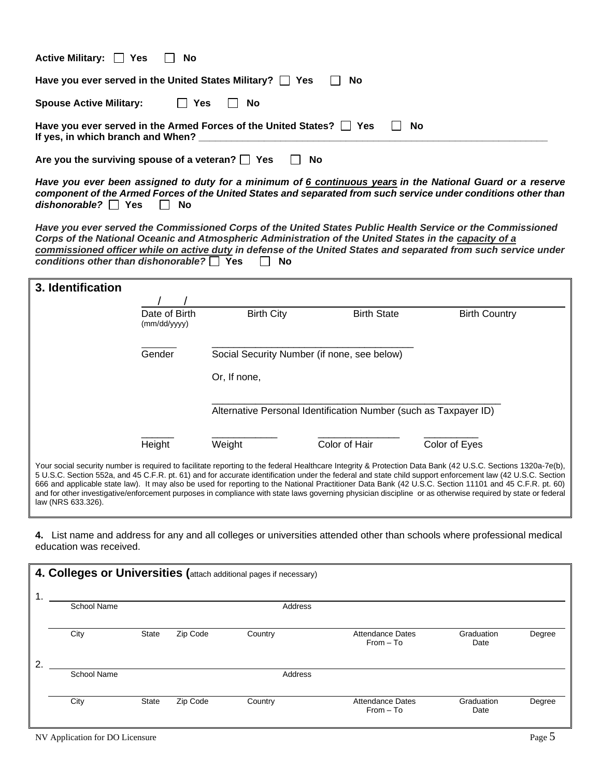| Active Military: □ Yes □ No                                                                                              |
|--------------------------------------------------------------------------------------------------------------------------|
| Have you ever served in the United States Military?   Yes<br>II No                                                       |
| Spouse Active Military: $\Box$ Yes<br>- No<br>$\Box$                                                                     |
| Have you ever served in the Armed Forces of the United States? $\Box$ Yes $\Box$ No<br>If yes, in which branch and When? |
| Are you the surviving spouse of a veteran? $\Box$ Yes<br>∣ I No                                                          |

*Have you ever been assigned to duty for a minimum of 6 continuous years in the National Guard or a reserve component of the Armed Forces of the United States and separated from such service under conditions other than dishonorable?* ■ Yes ■ No

*Have you ever served the Commissioned Corps of the United States Public Health Service or the Commissioned Corps of the National Oceanic and Atmospheric Administration of the United States in the capacity of a commissioned officer while on active duty in defense of the United States and separated from such service under conditions other than dishonorable?* ■ Yes ■ No

| 3. Identification  |                               |                   |                                                                  |                                                                                                                                                                                                                                                                                                                                                                                                                                                                                                                                                                                                                                                  |
|--------------------|-------------------------------|-------------------|------------------------------------------------------------------|--------------------------------------------------------------------------------------------------------------------------------------------------------------------------------------------------------------------------------------------------------------------------------------------------------------------------------------------------------------------------------------------------------------------------------------------------------------------------------------------------------------------------------------------------------------------------------------------------------------------------------------------------|
|                    |                               |                   |                                                                  |                                                                                                                                                                                                                                                                                                                                                                                                                                                                                                                                                                                                                                                  |
|                    | Date of Birth<br>(mm/dd/yyyy) | <b>Birth City</b> | <b>Birth State</b>                                               | <b>Birth Country</b>                                                                                                                                                                                                                                                                                                                                                                                                                                                                                                                                                                                                                             |
|                    | Gender                        |                   | Social Security Number (if none, see below)                      |                                                                                                                                                                                                                                                                                                                                                                                                                                                                                                                                                                                                                                                  |
|                    |                               | Or, If none,      |                                                                  |                                                                                                                                                                                                                                                                                                                                                                                                                                                                                                                                                                                                                                                  |
|                    |                               |                   | Alternative Personal Identification Number (such as Taxpayer ID) |                                                                                                                                                                                                                                                                                                                                                                                                                                                                                                                                                                                                                                                  |
|                    | Height                        | Weight            | Color of Hair                                                    | Color of Eyes                                                                                                                                                                                                                                                                                                                                                                                                                                                                                                                                                                                                                                    |
| law (NRS 633.326). |                               |                   |                                                                  | Your social security number is required to facilitate reporting to the federal Healthcare Integrity & Protection Data Bank (42 U.S.C. Sections 1320a-7e(b),<br>5 U.S.C. Section 552a, and 45 C.F.R. pt. 61) and for accurate identification under the federal and state child support enforcement law (42 U.S.C. Section<br>666 and applicable state law). It may also be used for reporting to the National Practitioner Data Bank (42 U.S.C. Section 11101 and 45 C.F.R. pt. 60)<br>and for other investigative/enforcement purposes in compliance with state laws governing physician discipline or as otherwise required by state or federal |

**4.** List name and address for any and all colleges or universities attended other than schools where professional medical education was received.

|    |                    |              |          | 4. Colleges or Universities (attach additional pages if necessary) |                                        |                    |        |
|----|--------------------|--------------|----------|--------------------------------------------------------------------|----------------------------------------|--------------------|--------|
| 1. |                    |              |          |                                                                    |                                        |                    |        |
|    | <b>School Name</b> |              |          | Address                                                            |                                        |                    |        |
|    | City               | <b>State</b> | Zip Code | Country                                                            | <b>Attendance Dates</b><br>$From - To$ | Graduation<br>Date | Degree |
| 2. |                    |              |          |                                                                    |                                        |                    |        |
|    | <b>School Name</b> |              |          | Address                                                            |                                        |                    |        |
|    |                    |              |          |                                                                    |                                        |                    |        |
|    | City               | <b>State</b> | Zip Code | Country                                                            | <b>Attendance Dates</b><br>$From - To$ | Graduation<br>Date | Degree |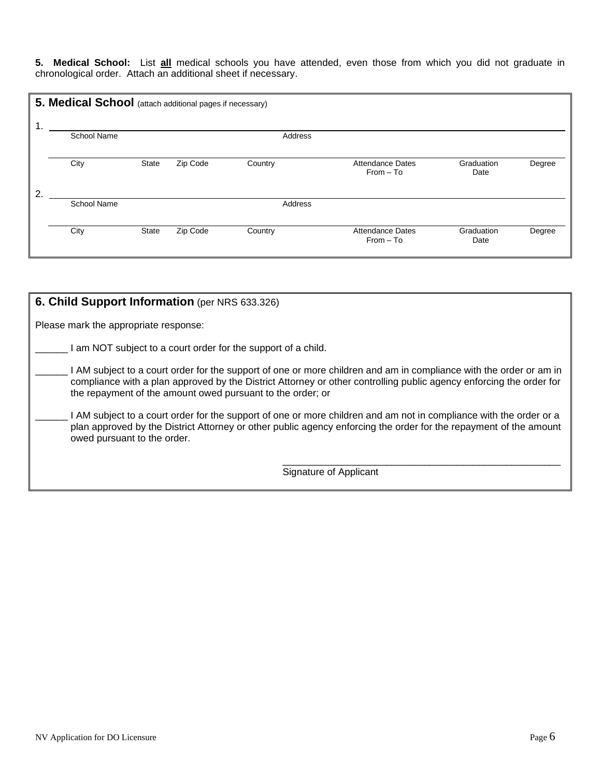**5. Medical School:** List **all** medical schools you have attended, even those from which you did not graduate in chronological order. Attach an additional sheet if necessary.

| 1 | 5. Medical School (attach additional pages if necessary) |              |          |         |                                        |                    |        |
|---|----------------------------------------------------------|--------------|----------|---------|----------------------------------------|--------------------|--------|
|   | <b>School Name</b>                                       |              |          | Address |                                        |                    |        |
|   | City                                                     | <b>State</b> | Zip Code | Country | <b>Attendance Dates</b><br>$From - To$ | Graduation<br>Date | Degree |
| 2 |                                                          |              |          |         |                                        |                    |        |
|   | <b>School Name</b>                                       |              |          | Address |                                        |                    |        |
|   | City                                                     | <b>State</b> | Zip Code | Country | <b>Attendance Dates</b><br>$From - To$ | Graduation<br>Date | Degree |

| 6. Child Support Information (per NRS 633.326)                                                                                                                                                                                                                                                          |
|---------------------------------------------------------------------------------------------------------------------------------------------------------------------------------------------------------------------------------------------------------------------------------------------------------|
| Please mark the appropriate response:                                                                                                                                                                                                                                                                   |
| am NOT subject to a court order for the support of a child.                                                                                                                                                                                                                                             |
| I AM subject to a court order for the support of one or more children and am in compliance with the order or am in<br>compliance with a plan approved by the District Attorney or other controlling public agency enforcing the order for<br>the repayment of the amount owed pursuant to the order; or |
| I AM subject to a court order for the support of one or more children and am not in compliance with the order or a<br>plan approved by the District Attorney or other public agency enforcing the order for the repayment of the amount<br>owed pursuant to the order.                                  |
| Signature of Applicant                                                                                                                                                                                                                                                                                  |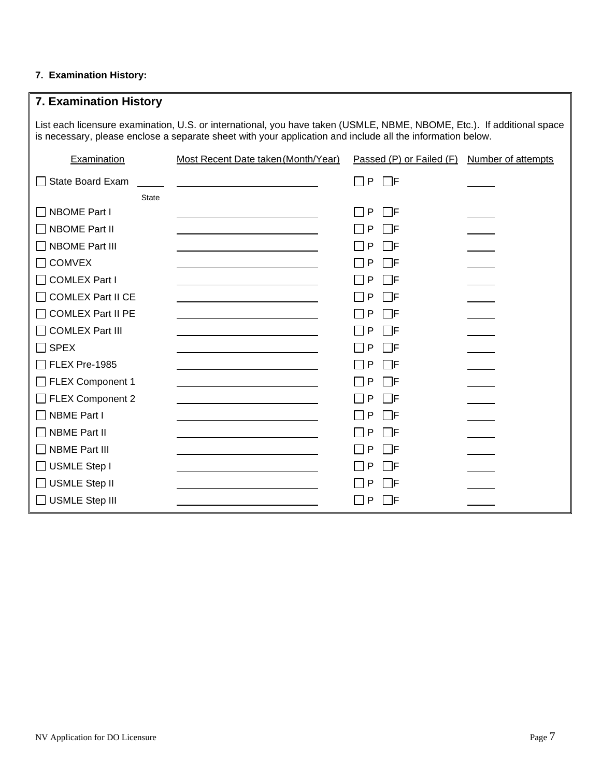## **7. Examination History:**

| 7. Examination History                                                                                                                                                                                                               |                                                                                                                      |                          |                           |  |  |  |
|--------------------------------------------------------------------------------------------------------------------------------------------------------------------------------------------------------------------------------------|----------------------------------------------------------------------------------------------------------------------|--------------------------|---------------------------|--|--|--|
| List each licensure examination, U.S. or international, you have taken (USMLE, NBME, NBOME, Etc.). If additional space<br>is necessary, please enclose a separate sheet with your application and include all the information below. |                                                                                                                      |                          |                           |  |  |  |
| Examination                                                                                                                                                                                                                          | Most Recent Date taken (Month/Year)                                                                                  | Passed (P) or Failed (F) | <b>Number of attempts</b> |  |  |  |
| <b>State Board Exam</b>                                                                                                                                                                                                              |                                                                                                                      | $\Box$ P $\ \Box$ f      |                           |  |  |  |
| <b>State</b>                                                                                                                                                                                                                         |                                                                                                                      |                          |                           |  |  |  |
| <b>NBOME Part I</b>                                                                                                                                                                                                                  |                                                                                                                      | P<br>$\Box$ f            |                           |  |  |  |
| <b>NBOME Part II</b>                                                                                                                                                                                                                 | the control of the control of the control of the control of the control of the control of                            | P<br>l IF                |                           |  |  |  |
| NBOME Part III                                                                                                                                                                                                                       |                                                                                                                      | □F<br>P                  |                           |  |  |  |
| <b>COMVEX</b>                                                                                                                                                                                                                        |                                                                                                                      | l IF<br>P                |                           |  |  |  |
| COMLEX Part I                                                                                                                                                                                                                        |                                                                                                                      | P<br>⊟F                  |                           |  |  |  |
| <b>COMLEX Part II CE</b>                                                                                                                                                                                                             |                                                                                                                      | $\Box$ f<br>P            |                           |  |  |  |
| COMLEX Part II PE                                                                                                                                                                                                                    | <u> 1989 - Johann Barbara, martin amerikan basar dan basa dan basar dalam basa dalam basa dalam basa dalam basa </u> | l IF<br>P                |                           |  |  |  |
| □ COMLEX Part III                                                                                                                                                                                                                    |                                                                                                                      | $\Box$ F<br>P            |                           |  |  |  |
| $\sqcap$ SPEX                                                                                                                                                                                                                        |                                                                                                                      | P<br>l IF                |                           |  |  |  |
| TFLEX Pre-1985                                                                                                                                                                                                                       |                                                                                                                      | $\Box$ F<br>P            |                           |  |  |  |
| $\Box$ FLEX Component 1                                                                                                                                                                                                              |                                                                                                                      | P<br>l IF                |                           |  |  |  |
| $\Box$ FLEX Component 2                                                                                                                                                                                                              |                                                                                                                      | P<br>l IF                |                           |  |  |  |
| NBME Part I                                                                                                                                                                                                                          |                                                                                                                      | P<br>l IF                |                           |  |  |  |
| $\sqcap$ NBME Part II                                                                                                                                                                                                                |                                                                                                                      | $\Box$ e<br>P            |                           |  |  |  |
| $\sqcap$ NBME Part III                                                                                                                                                                                                               |                                                                                                                      | $\Box$ f<br>P            |                           |  |  |  |
| $\Box$ USMLE Step I                                                                                                                                                                                                                  |                                                                                                                      | $\Box$ F<br>P            |                           |  |  |  |
| $\Box$ USMLE Step II                                                                                                                                                                                                                 |                                                                                                                      | P<br>l IF                |                           |  |  |  |
| $\Box$ USMLE Step III                                                                                                                                                                                                                |                                                                                                                      | P<br>l IF                |                           |  |  |  |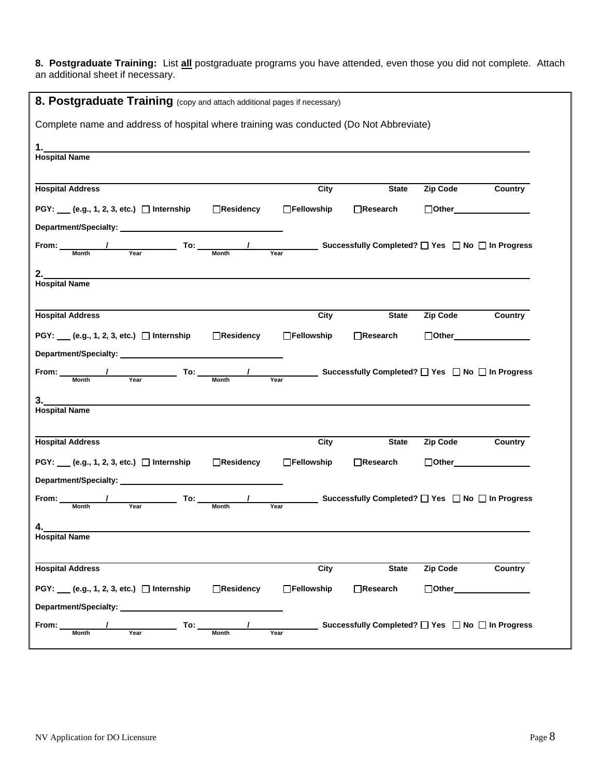**8. Postgraduate Training:** List **all** postgraduate programs you have attended, even those you did not complete. Attach an additional sheet if necessary.

| 8. Postgraduate Training (copy and attach additional pages if necessary)                                                                                                                                                       |                  |                   |                                                            |                            |                     |
|--------------------------------------------------------------------------------------------------------------------------------------------------------------------------------------------------------------------------------|------------------|-------------------|------------------------------------------------------------|----------------------------|---------------------|
| Complete name and address of hospital where training was conducted (Do Not Abbreviate)                                                                                                                                         |                  |                   |                                                            |                            |                     |
| 1.<br><b>Hospital Name</b>                                                                                                                                                                                                     |                  |                   |                                                            |                            |                     |
| <b>Hospital Address</b>                                                                                                                                                                                                        |                  | City              | <b>State</b>                                               | <b>Zip Code</b>            | Country             |
| PGY: ___ (e.g., 1, 2, 3, etc.) □ Internship                                                                                                                                                                                    | □Residency       | □Fellowship       | $\Box$ Research                                            | $\Box$ Other $\Box$        |                     |
| Department/Specialty: Network and the contract of the contract of the contract of the contract of the contract of the contract of the contract of the contract of the contract of the contract of the contract of the contract |                  |                   |                                                            |                            |                     |
| From: Month<br>$T$ o: $T$ <sub>Month</sub>                                                                                                                                                                                     |                  | Year              | <b>Successfully Completed?</b> □ Yes □ No □ In Progress    |                            |                     |
| 2.<br><u> 1989 - Johann Stoff, amerikansk politiker (d. 1989)</u>                                                                                                                                                              |                  |                   |                                                            |                            |                     |
| <b>Hospital Name</b>                                                                                                                                                                                                           |                  |                   |                                                            |                            |                     |
| <b>Hospital Address</b>                                                                                                                                                                                                        |                  | City              | <b>State</b>                                               | Zip Code                   | Country             |
|                                                                                                                                                                                                                                |                  |                   |                                                            |                            |                     |
|                                                                                                                                                                                                                                |                  |                   |                                                            |                            | $\Box$ Other $\Box$ |
| PGY: ___ (e.g., 1, 2, 3, etc.) □ Internship                                                                                                                                                                                    | □Residency       | $\Box$ Fellowship | $\Box$ Research                                            |                            |                     |
|                                                                                                                                                                                                                                |                  |                   | <b>__ Successfully Completed?</b> □ Yes □ No □ In Progress |                            |                     |
| From: Month<br>Year                                                                                                                                                                                                            | <b>Month</b>     | Year              |                                                            |                            |                     |
| 3.<br><b>Hospital Name</b>                                                                                                                                                                                                     |                  |                   |                                                            |                            |                     |
|                                                                                                                                                                                                                                |                  |                   |                                                            |                            |                     |
| <b>Hospital Address</b>                                                                                                                                                                                                        |                  | City              | <b>State</b>                                               | <b>Zip Code</b>            | Country             |
| PGY: ___ (e.g., 1, 2, 3, etc.) □ Internship                                                                                                                                                                                    | Residency        | □Fellowship       | $\Box$ Research                                            | $\Box$ Other $\Box$        |                     |
| Department/Specialty:                                                                                                                                                                                                          |                  |                   |                                                            |                            |                     |
| <b>To:</b><br>From:<br>Year<br><b>Month</b>                                                                                                                                                                                    | Month            | Year              | <b>Successfully Completed?</b> □ Yes □ No □ In Progress    |                            |                     |
| Δ                                                                                                                                                                                                                              |                  |                   |                                                            |                            |                     |
| <b>Hospital Name</b>                                                                                                                                                                                                           |                  |                   |                                                            |                            |                     |
|                                                                                                                                                                                                                                |                  |                   |                                                            |                            |                     |
| <b>Hospital Address</b>                                                                                                                                                                                                        |                  | City              | <b>State</b>                                               | Zip Code                   | Country             |
| PGY: ___ (e.g., 1, 2, 3, etc.) □ Internship                                                                                                                                                                                    | $\Box$ Residency | □Fellowship       | □Research                                                  | $\Box$ Other $\_\_\_\_\_\$ |                     |
| Department/Specialty: ___________<br>To:<br>From:                                                                                                                                                                              |                  |                   | _ Successfully Completed? □ Yes □ No □ In Progress         |                            |                     |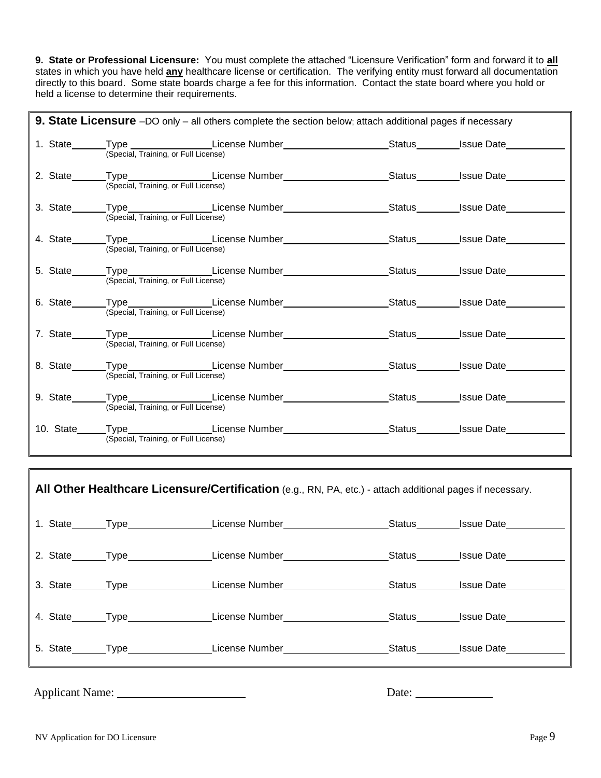**9. State or Professional Licensure:** You must complete the attached "Licensure Verification" form and forward it to **all** states in which you have held **any** healthcare license or certification. The verifying entity must forward all documentation directly to this board. Some state boards charge a fee for this information. Contact the state board where you hold or held a license to determine their requirements.

|                                      | <b>9. State Licensure</b> $-DO$ only $-$ all others complete the section below; attach additional pages if necessary |  |
|--------------------------------------|----------------------------------------------------------------------------------------------------------------------|--|
| (Special, Training, or Full License) | 1. State______Type _______________License Number___________________Status________Issue Date_________                 |  |
| (Special, Training, or Full License) | 2. State______Type_______________License Number_____________________Status________Issue Date________                 |  |
| (Special, Training, or Full License) | 3. State______Type_______________License Number____________________Status________Issue Date_________                 |  |
| (Special, Training, or Full License) | 4. State_______Type_________________License Number___________________Status_______Issue Date________                 |  |
| (Special, Training, or Full License) | 5. State______Type_______________License Number______________________Status________Issue Date_______                 |  |
| (Special, Training, or Full License) | 6. State______Type________________License Number_______________________Status_________Issue Date__________           |  |
| (Special, Training, or Full License) | 7. State_______Type____________________License Number___________________________Status_________Issue Date_____       |  |
| (Special, Training, or Full License) | 8. State_______Type_________________License Number___________________Status________Issue Date_______                 |  |
| (Special, Training, or Full License) | 9. State_______Type__________________License Number______________________Status_________Issue Date___________        |  |
| (Special, Training, or Full License) | 10. State_____Type________________License Number______________________Status________Issue Date__________             |  |

|  | $\parallel$ All Other Healthcare Licensure/Certification (e.g., RN, PA, etc.) - attach additional pages if necessary.                                                                                                          |  |
|--|--------------------------------------------------------------------------------------------------------------------------------------------------------------------------------------------------------------------------------|--|
|  | 1. State ______Type _________________License Number _______________________Status _________Issue Date __________                                                                                                               |  |
|  | 2. State_______Type_________________License Number_____________________Status________Issue Date___________                                                                                                                     |  |
|  | 3. State_______Type_________________License Number_____________________Status________Issue Date__________                                                                                                                      |  |
|  | 4. State Type License Number Status Status Status Status Status Status Status Status State State State State State State State State State State State State State State State State State State State State State State State |  |
|  | 5. State_______Type_________________License Number_____________________Status________Issue Date___________                                                                                                                     |  |
|  |                                                                                                                                                                                                                                |  |

Applicant Name: Date:

٦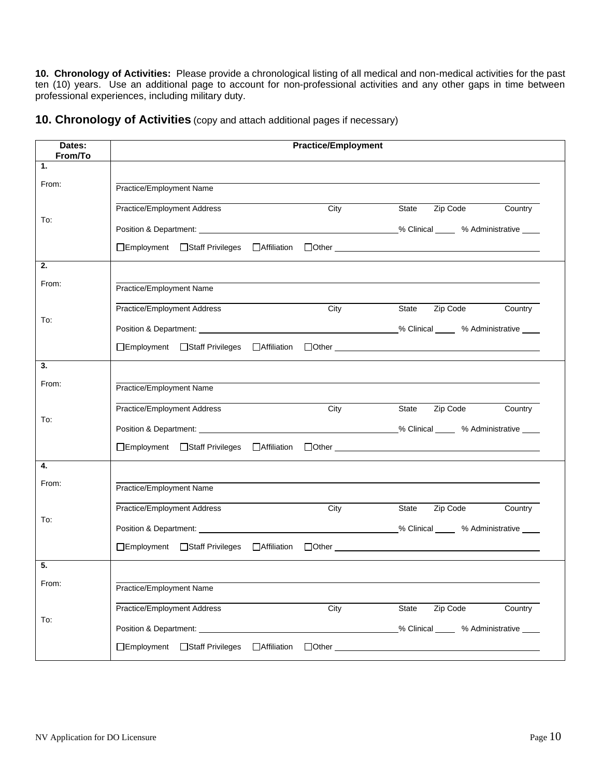**10. Chronology of Activities:** Please provide a chronological listing of all medical and non-medical activities for the past ten (10) years. Use an additional page to account for non-professional activities and any other gaps in time between professional experiences, including military duty.

| 10. Chronology of Activities (copy and attach additional pages if necessary) |  |
|------------------------------------------------------------------------------|--|
|------------------------------------------------------------------------------|--|

| Dates:<br>From/To | <b>Practice/Employment</b>                                                                                                                                                                                                    |                                         |
|-------------------|-------------------------------------------------------------------------------------------------------------------------------------------------------------------------------------------------------------------------------|-----------------------------------------|
| 1.                |                                                                                                                                                                                                                               |                                         |
| From:             | Practice/Employment Name                                                                                                                                                                                                      |                                         |
|                   | Practice/Employment Address<br>City                                                                                                                                                                                           | Zip Code<br>State<br>Country            |
| To:               |                                                                                                                                                                                                                               |                                         |
|                   |                                                                                                                                                                                                                               |                                         |
| 2.                |                                                                                                                                                                                                                               |                                         |
| From:             | Practice/Employment Name                                                                                                                                                                                                      |                                         |
|                   | Practice/Employment Address<br>City                                                                                                                                                                                           | State<br>Zip Code<br>Country            |
| To:               |                                                                                                                                                                                                                               |                                         |
|                   |                                                                                                                                                                                                                               |                                         |
| 3.                |                                                                                                                                                                                                                               |                                         |
| From:             | Practice/Employment Name                                                                                                                                                                                                      |                                         |
|                   | Practice/Employment Address<br>City                                                                                                                                                                                           | Zip Code<br>State<br>Country            |
| To:               |                                                                                                                                                                                                                               | _% Clinical _____ % Administrative ____ |
|                   |                                                                                                                                                                                                                               |                                         |
| 4.                |                                                                                                                                                                                                                               |                                         |
| From:             | Practice/Employment Name                                                                                                                                                                                                      |                                         |
|                   | Practice/Employment Address<br>City                                                                                                                                                                                           | Zip Code<br>State<br>Country            |
| To:               |                                                                                                                                                                                                                               |                                         |
|                   |                                                                                                                                                                                                                               |                                         |
| 5.                |                                                                                                                                                                                                                               |                                         |
| From:             | Practice/Employment Name                                                                                                                                                                                                      |                                         |
|                   | Practice/Employment Address<br>City                                                                                                                                                                                           | Zip Code<br>State<br>Country            |
| To:               | Position & Department: Note that the contract of the contract of the contract of the contract of the contract of the contract of the contract of the contract of the contract of the contract of the contract of the contract | % Clinical % Administrative             |
|                   | □Employment □Staff Privileges<br>□ Affiliation<br>$\Box$ Other $\_$                                                                                                                                                           |                                         |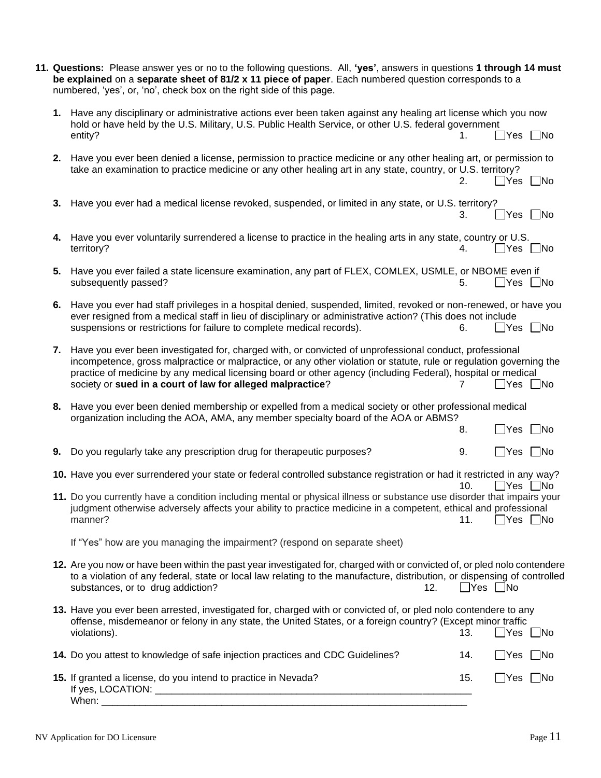|    | 11. Questions: Please answer yes or no to the following questions. All, 'yes', answers in questions 1 through 14 must<br>be explained on a separate sheet of 81/2 x 11 piece of paper. Each numbered question corresponds to a<br>numbered, 'yes', or, 'no', check box on the right side of this page.                                                                                                       |                      |                            |           |
|----|--------------------------------------------------------------------------------------------------------------------------------------------------------------------------------------------------------------------------------------------------------------------------------------------------------------------------------------------------------------------------------------------------------------|----------------------|----------------------------|-----------|
|    | 1. Have any disciplinary or administrative actions ever been taken against any healing art license which you now<br>hold or have held by the U.S. Military, U.S. Public Health Service, or other U.S. federal government<br>entity?                                                                                                                                                                          | 1.                   | $\bigcap$ Yes $\bigcap$ No |           |
|    | 2. Have you ever been denied a license, permission to practice medicine or any other healing art, or permission to<br>take an examination to practice medicine or any other healing art in any state, country, or U.S. territory?                                                                                                                                                                            | 2.                   | Yes    No                  |           |
|    | 3. Have you ever had a medical license revoked, suspended, or limited in any state, or U.S. territory?                                                                                                                                                                                                                                                                                                       | 3.                   | $\Box$ Yes $\Box$ No       |           |
| 4. | Have you ever voluntarily surrendered a license to practice in the healing arts in any state, country or U.S.<br>territory?                                                                                                                                                                                                                                                                                  | 4.                   | $\Box$ Yes $\Box$ No       |           |
| 5. | Have you ever failed a state licensure examination, any part of FLEX, COMLEX, USMLE, or NBOME even if<br>subsequently passed?                                                                                                                                                                                                                                                                                | 5.                   | $\Box$ Yes $\Box$ No       |           |
| 6. | Have you ever had staff privileges in a hospital denied, suspended, limited, revoked or non-renewed, or have you<br>ever resigned from a medical staff in lieu of disciplinary or administrative action? (This does not include<br>suspensions or restrictions for failure to complete medical records).                                                                                                     | 6.                   | $\Box$ Yes $\Box$ No       |           |
| 7. | Have you ever been investigated for, charged with, or convicted of unprofessional conduct, professional<br>incompetence, gross malpractice or malpractice, or any other violation or statute, rule or regulation governing the<br>practice of medicine by any medical licensing board or other agency (including Federal), hospital or medical<br>society or sued in a court of law for alleged malpractice? |                      | $\Box$ Yes                 | ∐No       |
|    | 8. Have you ever been denied membership or expelled from a medical society or other professional medical<br>organization including the AOA, AMA, any member specialty board of the AOA or ABMS?                                                                                                                                                                                                              | 8.                   | $\Box$ Yes                 | $\Box$ No |
|    | 9. Do you regularly take any prescription drug for therapeutic purposes?                                                                                                                                                                                                                                                                                                                                     | 9.                   | $\Box$ Yes $\Box$ No       |           |
|    | 10. Have you ever surrendered your state or federal controlled substance registration or had it restricted in any way?                                                                                                                                                                                                                                                                                       | 10.                  | $\Box$ Yes $\Box$ No       |           |
|    | 11. Do you currently have a condition including mental or physical illness or substance use disorder that impairs your<br>judgment otherwise adversely affects your ability to practice medicine in a competent, ethical and professional<br>manner?                                                                                                                                                         | 11.                  | $\Box$ Yes $\Box$ No       |           |
|    | If "Yes" how are you managing the impairment? (respond on separate sheet)                                                                                                                                                                                                                                                                                                                                    |                      |                            |           |
|    | 12. Are you now or have been within the past year investigated for, charged with or convicted of, or pled nolo contendere<br>to a violation of any federal, state or local law relating to the manufacture, distribution, or dispensing of controlled<br>substances, or to drug addiction?<br>12.                                                                                                            | $\Box$ Yes $\Box$ No |                            |           |
|    | 13. Have you ever been arrested, investigated for, charged with or convicted of, or pled nolo contendere to any<br>offense, misdemeanor or felony in any state, the United States, or a foreign country? (Except minor traffic<br>violations).                                                                                                                                                               | 13.                  | $\Box$ Yes $\Box$ No       |           |
|    | 14. Do you attest to knowledge of safe injection practices and CDC Guidelines?                                                                                                                                                                                                                                                                                                                               | 14.                  | $\Box$ Yes $\Box$ No       |           |
|    | 15. If granted a license, do you intend to practice in Nevada?                                                                                                                                                                                                                                                                                                                                               | 15.                  | $\Box$ Yes $\Box$ No       |           |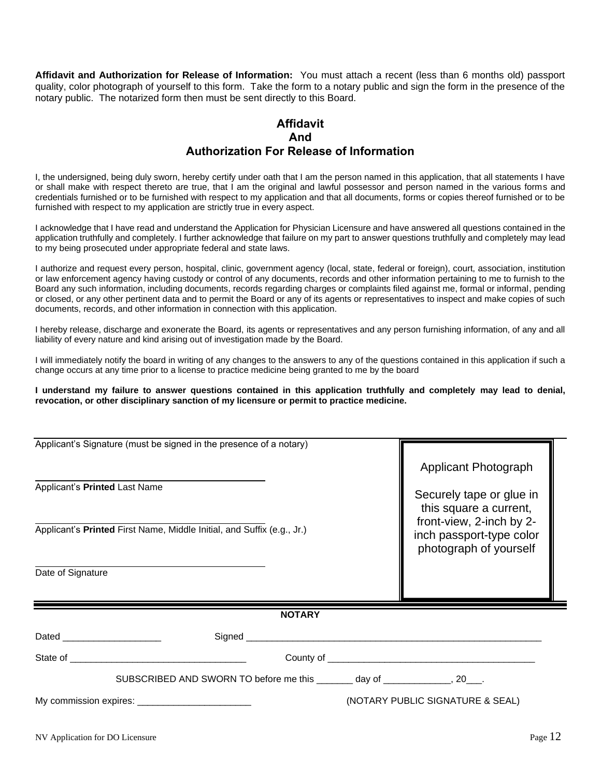**Affidavit and Authorization for Release of Information:** You must attach a recent (less than 6 months old) passport quality, color photograph of yourself to this form. Take the form to a notary public and sign the form in the presence of the notary public. The notarized form then must be sent directly to this Board.

## **Affidavit And Authorization For Release of Information**

I, the undersigned, being duly sworn, hereby certify under oath that I am the person named in this application, that all statements I have or shall make with respect thereto are true, that I am the original and lawful possessor and person named in the various forms and credentials furnished or to be furnished with respect to my application and that all documents, forms or copies thereof furnished or to be furnished with respect to my application are strictly true in every aspect.

I acknowledge that I have read and understand the Application for Physician Licensure and have answered all questions contained in the application truthfully and completely. I further acknowledge that failure on my part to answer questions truthfully and completely may lead to my being prosecuted under appropriate federal and state laws.

I authorize and request every person, hospital, clinic, government agency (local, state, federal or foreign), court, association, institution or law enforcement agency having custody or control of any documents, records and other information pertaining to me to furnish to the Board any such information, including documents, records regarding charges or complaints filed against me, formal or informal, pending or closed, or any other pertinent data and to permit the Board or any of its agents or representatives to inspect and make copies of such documents, records, and other information in connection with this application.

I hereby release, discharge and exonerate the Board, its agents or representatives and any person furnishing information, of any and all liability of every nature and kind arising out of investigation made by the Board.

I will immediately notify the board in writing of any changes to the answers to any of the questions contained in this application if such a change occurs at any time prior to a license to practice medicine being granted to me by the board

#### **I understand my failure to answer questions contained in this application truthfully and completely may lead to denial, revocation, or other disciplinary sanction of my licensure or permit to practice medicine.**

| Applicant's Signature (must be signed in the presence of a notary)                                                                                                                                                             |                                                                                |                                                    |
|--------------------------------------------------------------------------------------------------------------------------------------------------------------------------------------------------------------------------------|--------------------------------------------------------------------------------|----------------------------------------------------|
|                                                                                                                                                                                                                                |                                                                                | Applicant Photograph                               |
| Applicant's Printed Last Name                                                                                                                                                                                                  | Securely tape or glue in<br>this square a current,<br>front-view, 2-inch by 2- |                                                    |
| Applicant's Printed First Name, Middle Initial, and Suffix (e.g., Jr.)                                                                                                                                                         |                                                                                | inch passport-type color<br>photograph of yourself |
| Date of Signature                                                                                                                                                                                                              |                                                                                |                                                    |
| <b>NOTARY</b>                                                                                                                                                                                                                  |                                                                                |                                                    |
| Dated _______________________                                                                                                                                                                                                  |                                                                                |                                                    |
| State of the state of the state of the state of the state of the state of the state of the state of the state of the state of the state of the state of the state of the state of the state of the state of the state of the s |                                                                                |                                                    |
| SUBSCRIBED AND SWORN TO before me this ________ day of _____________, 20___.                                                                                                                                                   |                                                                                |                                                    |
|                                                                                                                                                                                                                                |                                                                                | (NOTARY PUBLIC SIGNATURE & SEAL)                   |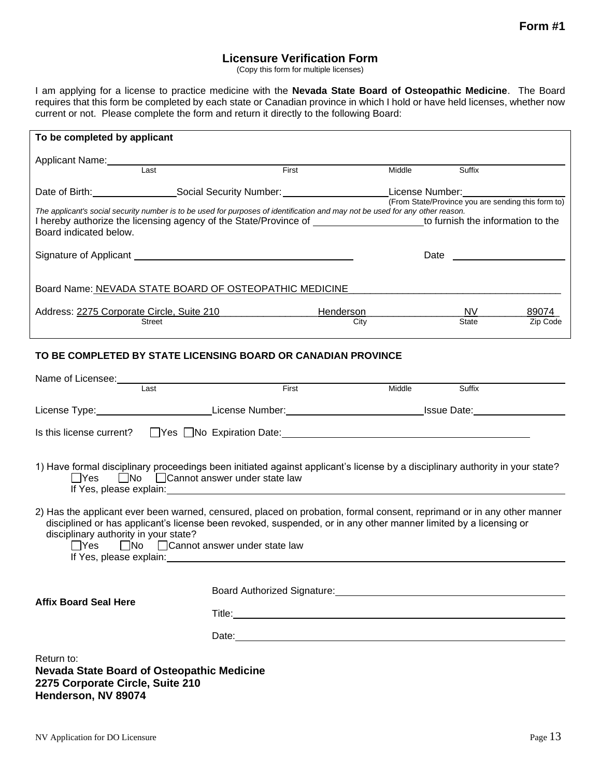## **Licensure Verification Form**

(Copy this form for multiple licenses)

I am applying for a license to practice medicine with the **Nevada State Board of Osteopathic Medicine**. The Board requires that this form be completed by each state or Canadian province in which I hold or have held licenses, whether now current or not. Please complete the form and return it directly to the following Board:

| To be completed by applicant                                                                                                                                                                                                                                              |                                        |                    |                                                    |               |                   |  |
|---------------------------------------------------------------------------------------------------------------------------------------------------------------------------------------------------------------------------------------------------------------------------|----------------------------------------|--------------------|----------------------------------------------------|---------------|-------------------|--|
| Applicant Name:                                                                                                                                                                                                                                                           | Last                                   | First              | Middle                                             | Suffix        |                   |  |
|                                                                                                                                                                                                                                                                           | Date of Birth: Social Security Number: |                    | License Number: _________________                  |               |                   |  |
| The applicant's social security number is to be used for purposes of identification and may not be used for any other reason.<br>I hereby authorize the licensing agency of the State/Province of the the the to furnish the information to the<br>Board indicated below. |                                        |                    |                                                    |               |                   |  |
|                                                                                                                                                                                                                                                                           |                                        |                    |                                                    |               |                   |  |
| Board Name: NEVADA STATE BOARD OF OSTEOPATHIC MEDICINE                                                                                                                                                                                                                    |                                        |                    |                                                    |               |                   |  |
|                                                                                                                                                                                                                                                                           | <b>Street</b>                          | Henderson_<br>City |                                                    | NV -<br>State | 89074<br>Zip Code |  |
| Address: 2275 Corporate Circle, Suite 210                                                                                                                                                                                                                                 |                                        |                    | (From State/Province you are sending this form to) |               |                   |  |

#### **TO BE COMPLETED BY STATE LICENSING BOARD OR CANADIAN PROVINCE**

| Name of Licensee: Name of Licensee:                                                                                                                                                                                                                                                                                                                                                                                |      |                                                                                                                |                                                                                                                |        |  |
|--------------------------------------------------------------------------------------------------------------------------------------------------------------------------------------------------------------------------------------------------------------------------------------------------------------------------------------------------------------------------------------------------------------------|------|----------------------------------------------------------------------------------------------------------------|----------------------------------------------------------------------------------------------------------------|--------|--|
|                                                                                                                                                                                                                                                                                                                                                                                                                    | Last | First                                                                                                          | Middle                                                                                                         | Suffix |  |
|                                                                                                                                                                                                                                                                                                                                                                                                                    |      |                                                                                                                | License Type:____________________________License Number:_________________________________Issue Date:__________ |        |  |
|                                                                                                                                                                                                                                                                                                                                                                                                                    |      | Is this license current? TYes No Expiration Date: The Content of the Content of the September 2016 of the UNES |                                                                                                                |        |  |
| 1) Have formal disciplinary proceedings been initiated against applicant's license by a disciplinary authority in your state?<br>□Yes □ No □ Cannot answer under state law<br>If Yes, please explain: <u>contract and a set of the set of the set of the set of the set of the set of the set of the set of the set of the set of the set of the set of the set of the set of the set of the set of the set of</u> |      |                                                                                                                |                                                                                                                |        |  |
| 2) Has the applicant ever been warned, censured, placed on probation, formal consent, reprimand or in any other manner<br>disciplined or has applicant's license been revoked, suspended, or in any other manner limited by a licensing or<br>disciplinary authority in your state?<br>$\Box$ Yes $\Box$ No $\Box$ Cannot answer under state law                                                                   |      |                                                                                                                |                                                                                                                |        |  |
| <b>Affix Board Seal Here</b>                                                                                                                                                                                                                                                                                                                                                                                       |      |                                                                                                                |                                                                                                                |        |  |
|                                                                                                                                                                                                                                                                                                                                                                                                                    |      |                                                                                                                |                                                                                                                |        |  |
| Return to:<br><b>Nevada State Board of Osteopathic Medicine</b><br>2275 Corporate Circle, Suite 210<br>Henderson, NV 89074                                                                                                                                                                                                                                                                                         |      |                                                                                                                |                                                                                                                |        |  |